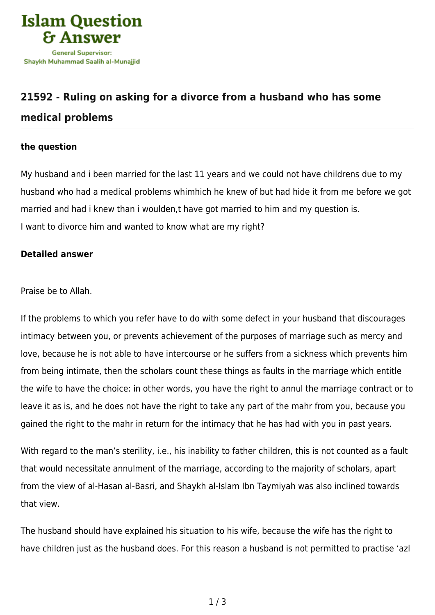

## **[21592 - Ruling on asking for a divorce from a husband who has some](https://islamqa.com/en/answers/21592/ruling-on-asking-for-a-divorce-from-a-husband-who-has-some-medical-problems) [medical problems](https://islamqa.com/en/answers/21592/ruling-on-asking-for-a-divorce-from-a-husband-who-has-some-medical-problems)**

## **the question**

My husband and i been married for the last 11 years and we could not have childrens due to my husband who had a medical problems whimhich he knew of but had hide it from me before we got married and had i knew than i woulden,t have got married to him and my question is. I want to divorce him and wanted to know what are my right?

## **Detailed answer**

Praise be to Allah.

If the problems to which you refer have to do with some defect in your husband that discourages intimacy between you, or prevents achievement of the purposes of marriage such as mercy and love, because he is not able to have intercourse or he suffers from a sickness which prevents him from being intimate, then the scholars count these things as faults in the marriage which entitle the wife to have the choice: in other words, you have the right to annul the marriage contract or to leave it as is, and he does not have the right to take any part of the mahr from you, because you gained the right to the mahr in return for the intimacy that he has had with you in past years.

With regard to the man's sterility, i.e., his inability to father children, this is not counted as a fault that would necessitate annulment of the marriage, according to the majority of scholars, apart from the view of al-Hasan al-Basri, and Shaykh al-Islam Ibn Taymiyah was also inclined towards that view.

The husband should have explained his situation to his wife, because the wife has the right to have children just as the husband does. For this reason a husband is not permitted to practise 'azl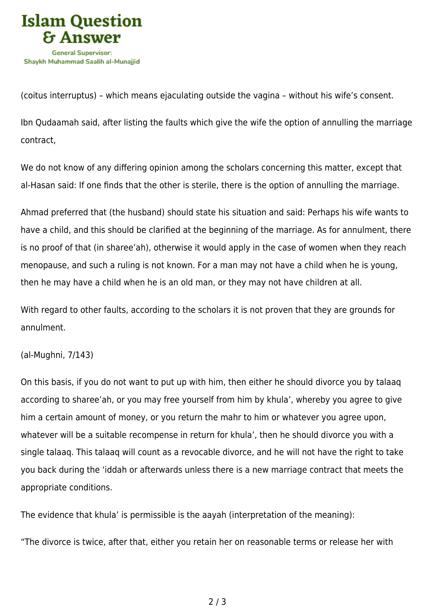

(coitus interruptus) – which means ejaculating outside the vagina – without his wife's consent.

Ibn Qudaamah said, after listing the faults which give the wife the option of annulling the marriage contract,

We do not know of any differing opinion among the scholars concerning this matter, except that al-Hasan said: If one finds that the other is sterile, there is the option of annulling the marriage.

Ahmad preferred that (the husband) should state his situation and said: Perhaps his wife wants to have a child, and this should be clarified at the beginning of the marriage. As for annulment, there is no proof of that (in sharee'ah), otherwise it would apply in the case of women when they reach menopause, and such a ruling is not known. For a man may not have a child when he is young, then he may have a child when he is an old man, or they may not have children at all.

With regard to other faults, according to the scholars it is not proven that they are grounds for annulment.

(al-Mughni, 7/143)

On this basis, if you do not want to put up with him, then either he should divorce you by talaaq according to sharee'ah, or you may free yourself from him by khula', whereby you agree to give him a certain amount of money, or you return the mahr to him or whatever you agree upon, whatever will be a suitable recompense in return for khula', then he should divorce you with a single talaaq. This talaaq will count as a revocable divorce, and he will not have the right to take you back during the 'iddah or afterwards unless there is a new marriage contract that meets the appropriate conditions.

The evidence that khula' is permissible is the aayah (interpretation of the meaning):

"The divorce is twice, after that, either you retain her on reasonable terms or release her with